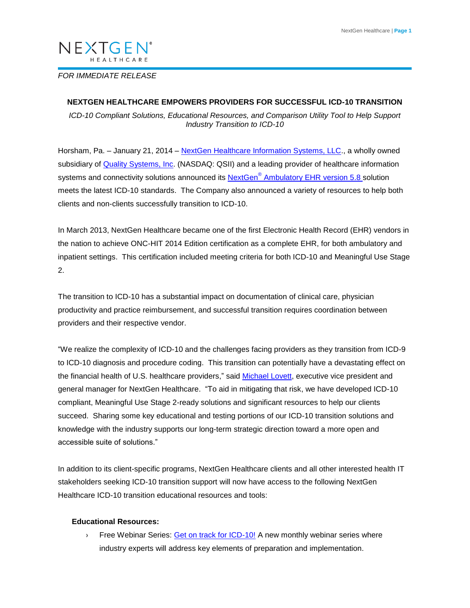# NEXTGEN®

# *FOR IMMEDIATE RELEASE*

## **NEXTGEN HEALTHCARE EMPOWERS PROVIDERS FOR SUCCESSFUL ICD-10 TRANSITION**

*ICD-10 Compliant Solutions, Educational Resources, and Comparison Utility Tool to Help Support Industry Transition to ICD-10* 

Horsham, Pa. - January 21, 2014 - [NextGen Healthcare Information Systems, LLC.](http://www.nextgen.com/?lead=press), a wholly owned subsidiary of **Quality Systems, Inc.** (NASDAQ: QSII) and a leading provider of healthcare information systems and connectivity solutions announced its **NextGen<sup>®</sup> Ambulatory EHR version 5.8** solution meets the latest ICD-10 standards. The Company also announced a variety of resources to help both clients and non-clients successfully transition to ICD-10.

In March 2013, NextGen Healthcare became one of the first Electronic Health Record (EHR) vendors in the nation to achieve ONC-HIT 2014 Edition certification as a complete EHR, for both ambulatory and inpatient settings. This certification included meeting criteria for both ICD-10 and Meaningful Use Stage 2.

The transition to ICD-10 has a substantial impact on documentation of clinical care, physician productivity and practice reimbursement, and successful transition requires coordination between providers and their respective vendor.

"We realize the complexity of ICD-10 and the challenges facing providers as they transition from ICD-9 to ICD-10 diagnosis and procedure coding. This transition can potentially have a devastating effect on the financial health of U.S. healthcare providers," said [Michael Lovett,](http://www.nextgen.com/about-nextgen/Leadership.aspx?RequestId=60d0f742) executive vice president and general manager for NextGen Healthcare. "To aid in mitigating that risk, we have developed ICD-10 compliant, Meaningful Use Stage 2-ready solutions and significant resources to help our clients succeed. Sharing some key educational and testing portions of our ICD-10 transition solutions and knowledge with the industry supports our long-term strategic direction toward a more open and accessible suite of solutions."

In addition to its client-specific programs, NextGen Healthcare clients and all other interested health IT stakeholders seeking ICD-10 transition support will now have access to the following NextGen Healthcare ICD-10 transition educational resources and tools:

## **Educational Resources:**

**Example 2** Free Webinar Series: [Get on track for ICD-10!](https://www.nextgen.com/campaigns/ICD10-webinar-series.aspx) A new monthly webinar series where industry experts will address key elements of preparation and implementation.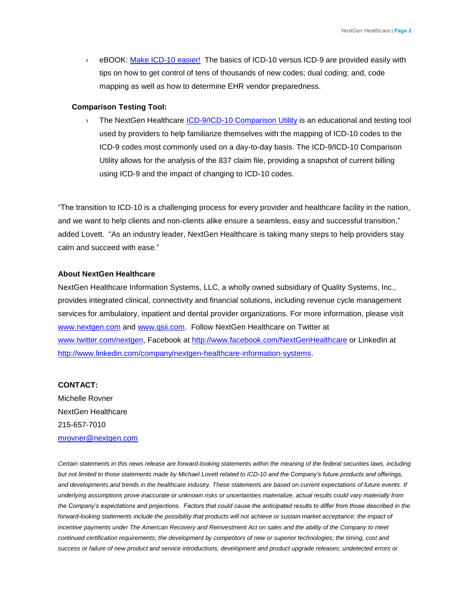› eBOOK: [Make ICD-10 easier!](https://www.nextgen.com/campaigns/eBook.aspx?source=icd10) The basics of ICD-10 versus ICD-9 are provided easily with tips on how to get control of tens of thousands of new codes; dual coding; and, code mapping as well as how to determine EHR vendor preparedness.

#### **Comparison Testing Tool:**

› The NextGen Healthcare [ICD-9/ICD-10 Comparison Utility](https://store.nextgen.com/p/133/icd-9icd-10-comparison-utility-first-time-purchase?RequestId=42fd6cd3) is an educational and testing tool used by providers to help familiarize themselves with the mapping of ICD-10 codes to the ICD-9 codes most commonly used on a day-to-day basis. The ICD-9/ICD-10 Comparison Utility allows for the analysis of the 837 claim file, providing a snapshot of current billing using ICD-9 and the impact of changing to ICD-10 codes.

"The transition to ICD-10 is a challenging process for every provider and healthcare facility in the nation, and we want to help clients and non-clients alike ensure a seamless, easy and successful transition," added Lovett. "As an industry leader, NextGen Healthcare is taking many steps to help providers stay calm and succeed with ease."

#### **About NextGen Healthcare**

NextGen Healthcare Information Systems, LLC, a wholly owned subsidiary of Quality Systems, Inc., provides integrated clinical, connectivity and financial solutions, including revenue cycle management services for ambulatory, inpatient and dental provider organizations. For more information, please visit [www.nextgen.com](http://www.nextgen.com/) and [www.qsii.com.](http://www.qsii.com/) Follow NextGen Healthcare on Twitter at [www.twitter.com/nextgen,](http://www.twitter.com/nextgen) Facebook at<http://www.facebook.com/NextGenHealthcare> or LinkedIn at [http://www.linkedin.com/company/nextgen-healthcare-information-systems.](http://www.linkedin.com/company/nextgen-healthcare-information-systems)

## **CONTACT:**

Michelle Rovner NextGen Healthcare 215-657-7010 [mrovner@nextgen.com](mailto:mrovner@nextgen.com)

*Certain statements in this news release are forward-looking statements within the meaning of the federal securities laws, including but not limited to those statements made by Michael Lovett related to ICD-10 and the Company's future products and offerings, and developments and trends in the healthcare industry. These statements are based on current expectations of future events. If underlying assumptions prove inaccurate or unknown risks or uncertainties materialize, actual results could vary materially from the Company's expectations and projections. Factors that could cause the anticipated results to differ from those described in the*  forward-looking statements include the possibility that products will not achieve or sustain market acceptance; the impact of incentive payments under The American Recovery and Reinvestment Act on sales and the ability of the Company to meet *continued certification requirements; the development by competitors of new or superior technologies; the timing, cost and success or failure of new product and service introductions, development and product upgrade releases; undetected errors or*